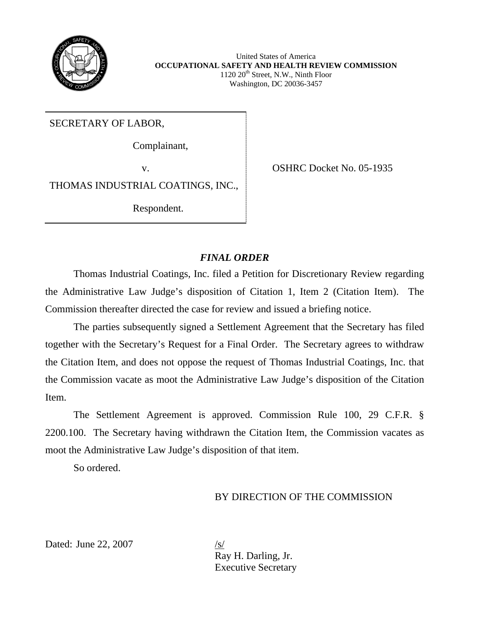

United States of America **OCCUPATIONAL SAFETY AND HEALTH REVIEW COMMISSION**  $1120 20<sup>th</sup>$  Street, N.W., Ninth Floor Washington, DC 20036-3457

SECRETARY OF LABOR,

Complainant,

v. CSHRC Docket No. 05-1935

THOMAS INDUSTRIAL COATINGS, INC.,

Respondent.

# *FINAL ORDER*

Thomas Industrial Coatings, Inc. filed a Petition for Discretionary Review regarding the Administrative Law Judge's disposition of Citation 1, Item 2 (Citation Item). The Commission thereafter directed the case for review and issued a briefing notice.

The parties subsequently signed a Settlement Agreement that the Secretary has filed together with the Secretary's Request for a Final Order. The Secretary agrees to withdraw the Citation Item, and does not oppose the request of Thomas Industrial Coatings, Inc. that the Commission vacate as moot the Administrative Law Judge's disposition of the Citation Item.

 moot the Administrative Law Judge's disposition of that item. So ordered. The Settlement Agreement is approved. Commission Rule 100, 29 C.F.R. § 2200.100. The Secretary having withdrawn the Citation Item, the Commission vacates as

So ordered.

# BY DIRECTION OF THE COMMISSION

Dated: June 22, 2007

 Ray H. Darling, Jr. Executive Secretary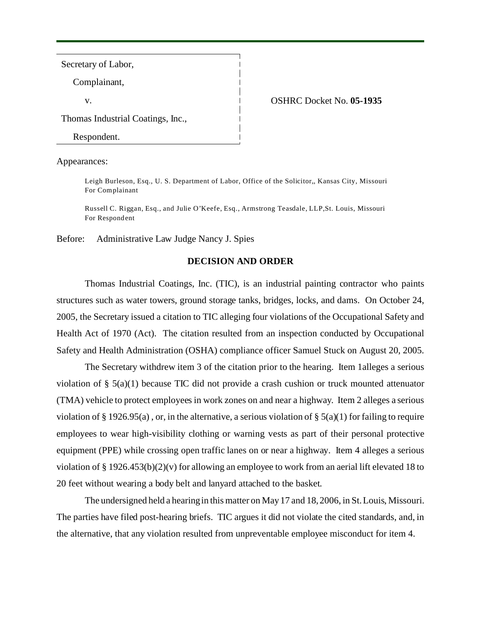Secretary of Labor,

Complainant,

### v. OSHRC Docket No. **05-1935**

Thomas Industrial Coatings, Inc.,

Respondent.

Appearances:

Leigh Burleson, Esq., U. S. Department of Labor, Office of the Solicitor,, Kansas City, Missouri For Complainant

Russell C. Riggan, Esq., and Julie O'Keefe, Esq., Armstrong Teasdale, LLP,St. Louis, Missouri For Respondent

Before: Administrative Law Judge Nancy J. Spies

## **DECISION AND ORDER**

Thomas Industrial Coatings, Inc. (TIC), is an industrial painting contractor who paints structures such as water towers, ground storage tanks, bridges, locks, and dams. On October 24, 2005, the Secretary issued a citation to TIC alleging four violations of the Occupational Safety and Health Act of 1970 (Act). The citation resulted from an inspection conducted by Occupational Safety and Health Administration (OSHA) compliance officer Samuel Stuck on August 20, 2005.

The Secretary withdrew item 3 of the citation prior to the hearing. Item 1alleges a serious violation of § 5(a)(1) because TIC did not provide a crash cushion or truck mounted attenuator (TMA) vehicle to protect employees in work zones on and near a highway. Item 2 alleges a serious violation of § 1926.95(a), or, in the alternative, a serious violation of § 5(a)(1) for failing to require employees to wear high-visibility clothing or warning vests as part of their personal protective equipment (PPE) while crossing open traffic lanes on or near a highway. Item 4 alleges a serious violation of § 1926.453(b)(2)(v) for allowing an employee to work from an aerial lift elevated 18 to 20 feet without wearing a body belt and lanyard attached to the basket.

The undersigned held a hearing in this matter on May 17 and 18, 2006, in St. Louis, Missouri. The parties have filed post-hearing briefs. TIC argues it did not violate the cited standards, and, in the alternative, that any violation resulted from unpreventable employee misconduct for item 4.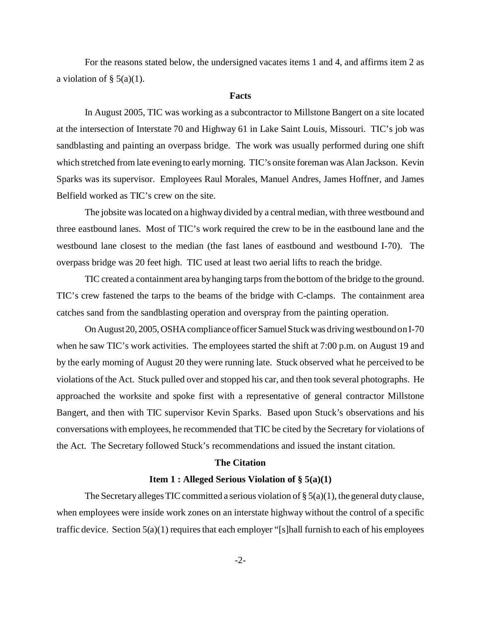For the reasons stated below, the undersigned vacates items 1 and 4, and affirms item 2 as a violation of  $\S$  5(a)(1).

### **Facts**

In August 2005, TIC was working as a subcontractor to Millstone Bangert on a site located at the intersection of Interstate 70 and Highway 61 in Lake Saint Louis, Missouri. TIC's job was sandblasting and painting an overpass bridge. The work was usually performed during one shift which stretched from late evening to early morning. TIC's onsite foreman was Alan Jackson. Kevin Sparks was its supervisor. Employees Raul Morales, Manuel Andres, James Hoffner, and James Belfield worked as TIC's crew on the site.

The jobsite was located on a highway divided by a central median, with three westbound and three eastbound lanes. Most of TIC's work required the crew to be in the eastbound lane and the westbound lane closest to the median (the fast lanes of eastbound and westbound I-70). The overpass bridge was 20 feet high. TIC used at least two aerial lifts to reach the bridge.

TIC created a containment area by hanging tarps from the bottom of the bridge to the ground. TIC's crew fastened the tarps to the beams of the bridge with C-clamps. The containment area catches sand from the sandblasting operation and overspray from the painting operation.

On August20, 2005, OSHA compliance officer Samuel Stuck was driving westbound on I-70 when he saw TIC's work activities. The employees started the shift at 7:00 p.m. on August 19 and by the early morning of August 20 they were running late. Stuck observed what he perceived to be violations of the Act. Stuck pulled over and stopped his car, and then took several photographs. He approached the worksite and spoke first with a representative of general contractor Millstone Bangert, and then with TIC supervisor Kevin Sparks. Based upon Stuck's observations and his conversations with employees, he recommended that TIC be cited by the Secretary for violations of the Act. The Secretary followed Stuck's recommendations and issued the instant citation.

### **The Citation**

## **Item 1 : Alleged Serious Violation of § 5(a)(1)**

The Secretary alleges TIC committed a serious violation of  $\S 5(a)(1)$ , the general duty clause, when employees were inside work zones on an interstate highway without the control of a specific traffic device. Section 5(a)(1) requires that each employer "[s]hall furnish to each of his employees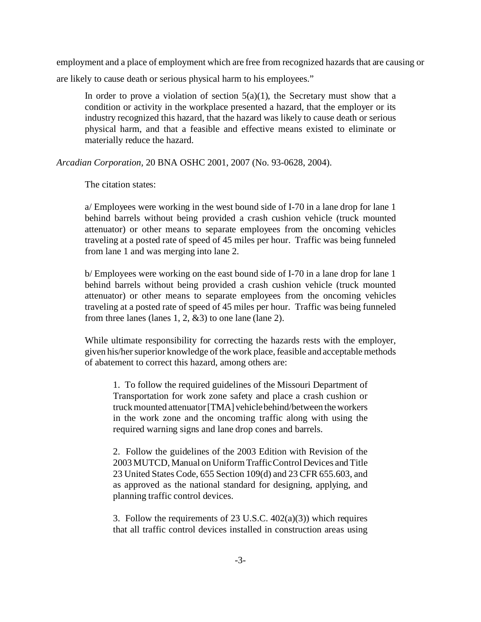employment and a place of employment which are free from recognized hazards that are causing or are likely to cause death or serious physical harm to his employees."

In order to prove a violation of section  $5(a)(1)$ , the Secretary must show that a condition or activity in the workplace presented a hazard, that the employer or its industry recognized this hazard, that the hazard was likely to cause death or serious physical harm, and that a feasible and effective means existed to eliminate or materially reduce the hazard.

*Arcadian Corporation,* 20 BNA OSHC 2001, 2007 (No. 93-0628, 2004).

The citation states:

a/ Employees were working in the west bound side of I-70 in a lane drop for lane 1 behind barrels without being provided a crash cushion vehicle (truck mounted attenuator) or other means to separate employees from the oncoming vehicles traveling at a posted rate of speed of 45 miles per hour. Traffic was being funneled from lane 1 and was merging into lane 2.

b/ Employees were working on the east bound side of I-70 in a lane drop for lane 1 behind barrels without being provided a crash cushion vehicle (truck mounted attenuator) or other means to separate employees from the oncoming vehicles traveling at a posted rate of speed of 45 miles per hour. Traffic was being funneled from three lanes (lanes 1, 2,  $\&$ 3) to one lane (lane 2).

While ultimate responsibility for correcting the hazards rests with the employer, given his/her superior knowledge of the work place, feasible and acceptable methods of abatement to correct this hazard, among others are:

1. To follow the required guidelines of the Missouri Department of Transportation for work zone safety and place a crash cushion or truck mounted attenuator [TMA] vehiclebehind/between the workers in the work zone and the oncoming traffic along with using the required warning signs and lane drop cones and barrels.

2. Follow the guidelines of the 2003 Edition with Revision of the 2003 MUTCD, Manual on Uniform Traffic Control Devices and Title 23 United States Code, 655 Section 109(d) and 23 CFR 655.603, and as approved as the national standard for designing, applying, and planning traffic control devices.

3. Follow the requirements of  $23 \text{ U.S.C. } 402(a)(3)$  which requires that all traffic control devices installed in construction areas using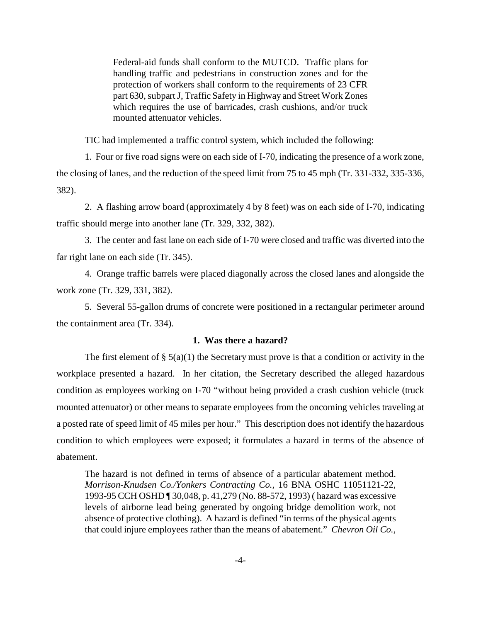Federal-aid funds shall conform to the MUTCD. Traffic plans for handling traffic and pedestrians in construction zones and for the protection of workers shall conform to the requirements of 23 CFR part 630, subpart J, Traffic Safety in Highway and Street Work Zones which requires the use of barricades, crash cushions, and/or truck mounted attenuator vehicles.

TIC had implemented a traffic control system, which included the following:

1. Four or five road signs were on each side of I-70, indicating the presence of a work zone, the closing of lanes, and the reduction of the speed limit from 75 to 45 mph (Tr. 331-332, 335-336, 382).

2. A flashing arrow board (approximately 4 by 8 feet) was on each side of I-70, indicating traffic should merge into another lane (Tr. 329, 332, 382).

3. The center and fast lane on each side of I-70 were closed and traffic was diverted into the far right lane on each side (Tr. 345).

4. Orange traffic barrels were placed diagonally across the closed lanes and alongside the work zone (Tr. 329, 331, 382).

5. Several 55-gallon drums of concrete were positioned in a rectangular perimeter around the containment area (Tr. 334).

## **1. Was there a hazard?**

The first element of §  $5(a)(1)$  the Secretary must prove is that a condition or activity in the workplace presented a hazard. In her citation, the Secretary described the alleged hazardous condition as employees working on I-70 "without being provided a crash cushion vehicle (truck mounted attenuator) or other means to separate employees from the oncoming vehicles traveling at a posted rate of speed limit of 45 miles per hour." This description does not identify the hazardous condition to which employees were exposed; it formulates a hazard in terms of the absence of abatement.

The hazard is not defined in terms of absence of a particular abatement method. *Morrison-Knudsen Co./Yonkers Contracting Co.,* 16 BNA OSHC 11051121-22, 1993-95 CCH OSHD ¶ 30,048, p. 41,279 (No. 88-572, 1993) ( hazard was excessive levels of airborne lead being generated by ongoing bridge demolition work, not absence of protective clothing). A hazard is defined "in terms of the physical agents that could injure employees rather than the means of abatement." *Chevron Oil Co.,*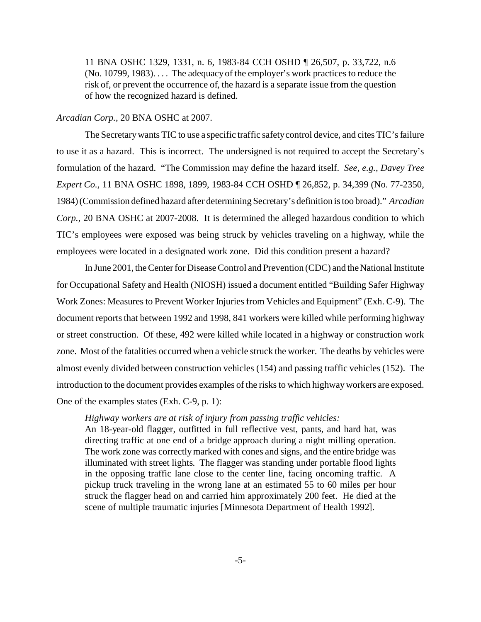11 BNA OSHC 1329, 1331, n. 6, 1983-84 CCH OSHD ¶ 26,507, p. 33,722, n.6 (No. 10799, 1983). . . . The adequacy of the employer's work practices to reduce the risk of, or prevent the occurrence of, the hazard is a separate issue from the question of how the recognized hazard is defined.

### *Arcadian Corp.,* 20 BNA OSHC at 2007.

The Secretary wants TIC to use a specific traffic safety control device, and cites TIC's failure to use it as a hazard. This is incorrect. The undersigned is not required to accept the Secretary's formulation of the hazard. "The Commission may define the hazard itself. *See, e.g., Davey Tree Expert Co.,* 11 BNA OSHC 1898, 1899, 1983-84 CCH OSHD ¶ 26,852, p. 34,399 (No. 77-2350, 1984) (Commission defined hazard after determining Secretary's definition is too broad)." *Arcadian Corp.,* 20 BNA OSHC at 2007-2008. It is determined the alleged hazardous condition to which TIC's employees were exposed was being struck by vehicles traveling on a highway, while the employees were located in a designated work zone. Did this condition present a hazard?

In June 2001, the Center for Disease Control and Prevention (CDC) and the National Institute for Occupational Safety and Health (NIOSH) issued a document entitled "Building Safer Highway Work Zones: Measures to Prevent Worker Injuries from Vehicles and Equipment" (Exh. C-9). The document reports that between 1992 and 1998, 841 workers were killed while performing highway or street construction. Of these, 492 were killed while located in a highway or construction work zone. Most of the fatalities occurred when a vehicle struck the worker. The deaths by vehicles were almost evenly divided between construction vehicles (154) and passing traffic vehicles (152). The introduction to the document provides examples of the risks to which highway workers are exposed. One of the examples states (Exh. C-9, p. 1):

## *Highway workers are at risk of injury from passing traffic vehicles:*

An 18-year-old flagger, outfitted in full reflective vest, pants, and hard hat, was directing traffic at one end of a bridge approach during a night milling operation. The work zone was correctly marked with cones and signs, and the entire bridge was illuminated with street lights. The flagger was standing under portable flood lights in the opposing traffic lane close to the center line, facing oncoming traffic. A pickup truck traveling in the wrong lane at an estimated 55 to 60 miles per hour struck the flagger head on and carried him approximately 200 feet. He died at the scene of multiple traumatic injuries [Minnesota Department of Health 1992].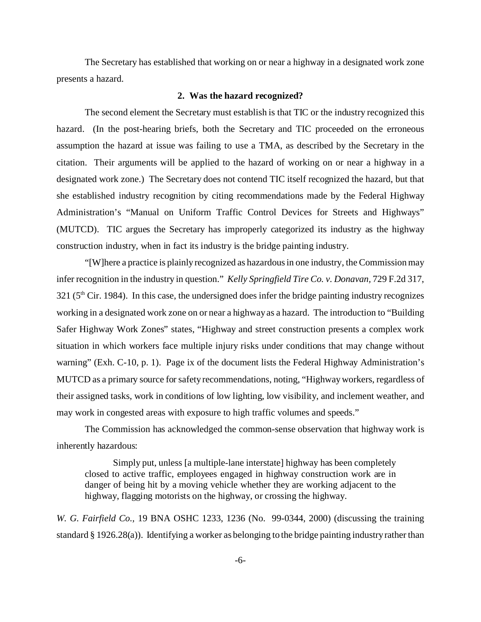The Secretary has established that working on or near a highway in a designated work zone presents a hazard.

### **2. Was the hazard recognized?**

The second element the Secretary must establish is that TIC or the industry recognized this hazard. (In the post-hearing briefs, both the Secretary and TIC proceeded on the erroneous assumption the hazard at issue was failing to use a TMA, as described by the Secretary in the citation. Their arguments will be applied to the hazard of working on or near a highway in a designated work zone.) The Secretary does not contend TIC itself recognized the hazard, but that she established industry recognition by citing recommendations made by the Federal Highway Administration's "Manual on Uniform Traffic Control Devices for Streets and Highways" (MUTCD). TIC argues the Secretary has improperly categorized its industry as the highway construction industry, when in fact its industry is the bridge painting industry.

"[W]here a practice is plainly recognized as hazardous in one industry, the Commission may infer recognition in the industry in question." *Kelly Springfield Tire Co. v. Donavan,* 729 F.2d 317,  $321$  ( $5<sup>th</sup>$  Cir. 1984). In this case, the undersigned does infer the bridge painting industry recognizes working in a designated work zone on or near a highway as a hazard. The introduction to "Building Safer Highway Work Zones" states, "Highway and street construction presents a complex work situation in which workers face multiple injury risks under conditions that may change without warning" (Exh. C-10, p. 1). Page ix of the document lists the Federal Highway Administration's MUTCD as a primary source for safety recommendations, noting, "Highway workers, regardless of their assigned tasks, work in conditions of low lighting, low visibility, and inclement weather, and may work in congested areas with exposure to high traffic volumes and speeds."

The Commission has acknowledged the common-sense observation that highway work is inherently hazardous:

Simply put, unless [a multiple-lane interstate] highway has been completely closed to active traffic, employees engaged in highway construction work are in danger of being hit by a moving vehicle whether they are working adjacent to the highway, flagging motorists on the highway, or crossing the highway.

*W. G. Fairfield Co.,* 19 BNA OSHC 1233, 1236 (No. 99-0344, 2000) (discussing the training standard § 1926.28(a)). Identifying a worker as belonging to the bridge painting industry rather than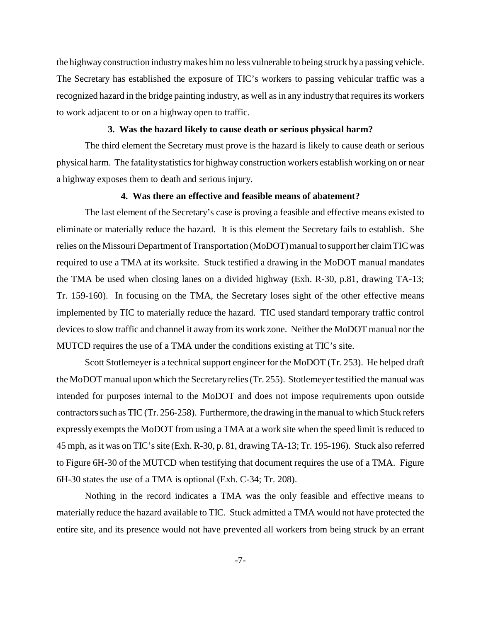the highway construction industry makes him no less vulnerable to being struck by a passing vehicle. The Secretary has established the exposure of TIC's workers to passing vehicular traffic was a recognized hazard in the bridge painting industry, as well as in any industry that requires its workers to work adjacent to or on a highway open to traffic.

## **3. Was the hazard likely to cause death or serious physical harm?**

The third element the Secretary must prove is the hazard is likely to cause death or serious physical harm. The fatality statistics for highway construction workers establish working on or near a highway exposes them to death and serious injury.

## **4. Was there an effective and feasible means of abatement?**

The last element of the Secretary's case is proving a feasible and effective means existed to eliminate or materially reduce the hazard. It is this element the Secretary fails to establish. She relies on the Missouri Department of Transportation (MoDOT) manual to support her claim TIC was required to use a TMA at its worksite. Stuck testified a drawing in the MoDOT manual mandates the TMA be used when closing lanes on a divided highway (Exh. R-30, p.81, drawing TA-13; Tr. 159-160). In focusing on the TMA, the Secretary loses sight of the other effective means implemented by TIC to materially reduce the hazard. TIC used standard temporary traffic control devices to slow traffic and channel it away from its work zone. Neither the MoDOT manual nor the MUTCD requires the use of a TMA under the conditions existing at TIC's site.

Scott Stotlemeyer is a technical support engineer for the MoDOT (Tr. 253). He helped draft the MoDOT manual upon which the Secretary relies (Tr. 255). Stotlemeyer testified the manual was intended for purposes internal to the MoDOT and does not impose requirements upon outside contractors such as TIC (Tr. 256-258). Furthermore, the drawing in the manual to which Stuck refers expressly exempts the MoDOT from using a TMA at a work site when the speed limit is reduced to 45 mph, as it was on TIC's site (Exh. R-30, p. 81, drawing TA-13; Tr. 195-196). Stuck also referred to Figure 6H-30 of the MUTCD when testifying that document requires the use of a TMA. Figure 6H-30 states the use of a TMA is optional (Exh. C-34; Tr. 208).

Nothing in the record indicates a TMA was the only feasible and effective means to materially reduce the hazard available to TIC. Stuck admitted a TMA would not have protected the entire site, and its presence would not have prevented all workers from being struck by an errant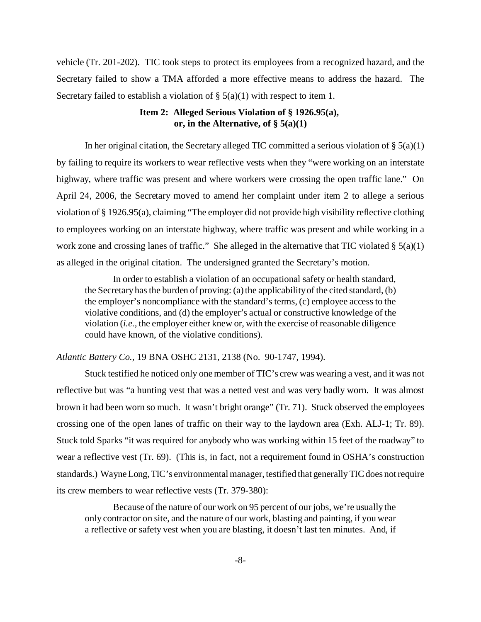vehicle (Tr. 201-202). TIC took steps to protect its employees from a recognized hazard, and the Secretary failed to show a TMA afforded a more effective means to address the hazard. The Secretary failed to establish a violation of  $\S$  5(a)(1) with respect to item 1.

# **Item 2: Alleged Serious Violation of § 1926.95(a), or, in the Alternative, of § 5(a)(1)**

In her original citation, the Secretary alleged TIC committed a serious violation of  $\S 5(a)(1)$ by failing to require its workers to wear reflective vests when they "were working on an interstate highway, where traffic was present and where workers were crossing the open traffic lane." On April 24, 2006, the Secretary moved to amend her complaint under item 2 to allege a serious violation of § 1926.95(a), claiming "The employer did not provide high visibility reflective clothing to employees working on an interstate highway, where traffic was present and while working in a work zone and crossing lanes of traffic." She alleged in the alternative that TIC violated  $\S 5(a)(1)$ as alleged in the original citation. The undersigned granted the Secretary's motion.

In order to establish a violation of an occupational safety or health standard, the Secretary has the burden of proving: (a) the applicability of the cited standard, (b) the employer's noncompliance with the standard's terms, (c) employee access to the violative conditions, and (d) the employer's actual or constructive knowledge of the violation (*i.e.,* the employer either knew or, with the exercise of reasonable diligence could have known, of the violative conditions).

*Atlantic Battery Co.,* 19 BNA OSHC 2131, 2138 (No. 90-1747, 1994).

Stuck testified he noticed only one member of TIC's crew was wearing a vest, and it was not reflective but was "a hunting vest that was a netted vest and was very badly worn. It was almost brown it had been worn so much. It wasn't bright orange" (Tr. 71). Stuck observed the employees crossing one of the open lanes of traffic on their way to the laydown area (Exh. ALJ-1; Tr. 89). Stuck told Sparks "it was required for anybody who was working within 15 feet of the roadway" to wear a reflective vest (Tr. 69). (This is, in fact, not a requirement found in OSHA's construction standards.) Wayne Long, TIC's environmental manager, testified that generally TIC does not require its crew members to wear reflective vests (Tr. 379-380):

Because of the nature of our work on 95 percent of our jobs, we're usually the only contractor on site, and the nature of our work, blasting and painting, if you wear a reflective or safety vest when you are blasting, it doesn't last ten minutes. And, if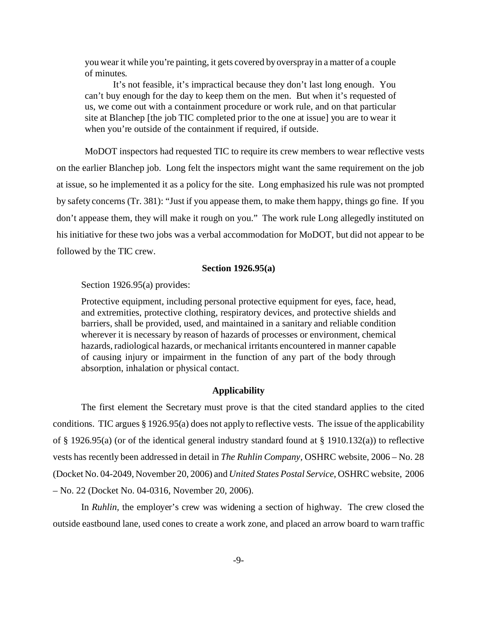you wear it while you're painting, it gets covered by overspray in a matter of a couple of minutes.

It's not feasible, it's impractical because they don't last long enough. You can't buy enough for the day to keep them on the men. But when it's requested of us, we come out with a containment procedure or work rule, and on that particular site at Blanchep [the job TIC completed prior to the one at issue] you are to wear it when you're outside of the containment if required, if outside.

MoDOT inspectors had requested TIC to require its crew members to wear reflective vests on the earlier Blanchep job. Long felt the inspectors might want the same requirement on the job at issue, so he implemented it as a policy for the site. Long emphasized his rule was not prompted by safety concerns (Tr. 381): "Just if you appease them, to make them happy, things go fine. If you don't appease them, they will make it rough on you." The work rule Long allegedly instituted on his initiative for these two jobs was a verbal accommodation for MoDOT, but did not appear to be followed by the TIC crew.

## **Section 1926.95(a)**

Section 1926.95(a) provides:

Protective equipment, including personal protective equipment for eyes, face, head, and extremities, protective clothing, respiratory devices, and protective shields and barriers, shall be provided, used, and maintained in a sanitary and reliable condition wherever it is necessary by reason of hazards of processes or environment, chemical hazards, radiological hazards, or mechanical irritants encountered in manner capable of causing injury or impairment in the function of any part of the body through absorption, inhalation or physical contact.

### **Applicability**

The first element the Secretary must prove is that the cited standard applies to the cited conditions. TIC argues § 1926.95(a) does not apply to reflective vests. The issue of the applicability of § 1926.95(a) (or of the identical general industry standard found at § 1910.132(a)) to reflective vests has recently been addressed in detail in *The Ruhlin Company,* OSHRC website, 2006 – No. 28 (Docket No. 04-2049, November 20, 2006) and *United States Postal Service*, OSHRC website, 2006 – No. 22 (Docket No. 04-0316, November 20, 2006).

In *Ruhlin*, the employer's crew was widening a section of highway. The crew closed the outside eastbound lane, used cones to create a work zone, and placed an arrow board to warn traffic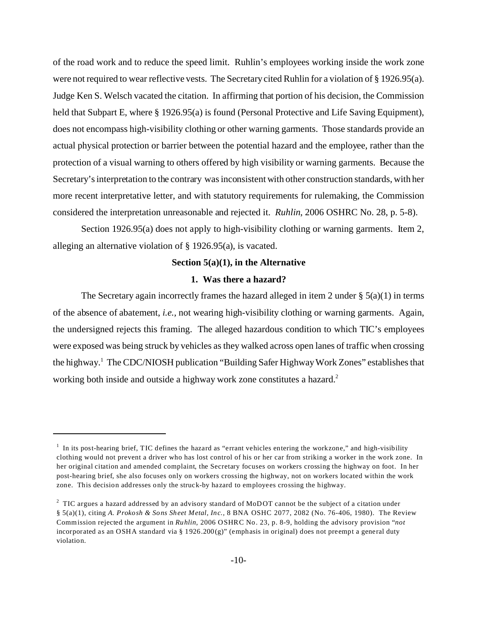of the road work and to reduce the speed limit. Ruhlin's employees working inside the work zone were not required to wear reflective vests. The Secretary cited Ruhlin for a violation of § 1926.95(a). Judge Ken S. Welsch vacated the citation. In affirming that portion of his decision, the Commission held that Subpart E, where § 1926.95(a) is found (Personal Protective and Life Saving Equipment), does not encompass high-visibility clothing or other warning garments. Those standards provide an actual physical protection or barrier between the potential hazard and the employee, rather than the protection of a visual warning to others offered by high visibility or warning garments. Because the Secretary's interpretation to the contrary was inconsistent with other construction standards, with her more recent interpretative letter, and with statutory requirements for rulemaking, the Commission considered the interpretation unreasonable and rejected it. *Ruhlin*, 2006 OSHRC No. 28, p. 5-8).

Section 1926.95(a) does not apply to high-visibility clothing or warning garments. Item 2, alleging an alternative violation of § 1926.95(a), is vacated.

## **Section 5(a)(1), in the Alternative**

#### **1. Was there a hazard?**

The Secretary again incorrectly frames the hazard alleged in item 2 under  $\S$  5(a)(1) in terms of the absence of abatement, *i.e.,* not wearing high-visibility clothing or warning garments. Again, the undersigned rejects this framing. The alleged hazardous condition to which TIC's employees were exposed was being struck by vehicles as they walked across open lanes of traffic when crossing the highway.<sup>1</sup> The CDC/NIOSH publication "Building Safer Highway Work Zones" establishes that working both inside and outside a highway work zone constitutes a hazard.<sup>2</sup>

 $1$  In its post-hearing brief, TIC defines the hazard as "errant vehicles entering the workzone," and high-visibility clothing would not prevent a driver who has lost control of his or her car from striking a worker in the work zone. In her original citation and amended complaint, the Secretary focuses on workers crossing the highway on foot. In her post-hearing brief, she also focuses only on workers crossing the highway, not on workers located within the work zone. This decision addresses only the struck-by hazard to employees crossing the highway.

 $2$  TIC argues a hazard addressed by an advisory standard of MoDOT cannot be the subject of a citation under § 5(a)(1), citing *A. Prokosh & Sons Sheet Metal, Inc.,* 8 BNA OSHC 2077, 2082 (No. 76-406, 1980). The Review Commission rejected the argument in *Ruhlin,* 2006 O SHRC No. 23, p. 8-9, holding the advisory provision "*not* incorporated as an OSHA standard via § 1926.200(g)" (emphasis in original) does not preempt a general duty violation.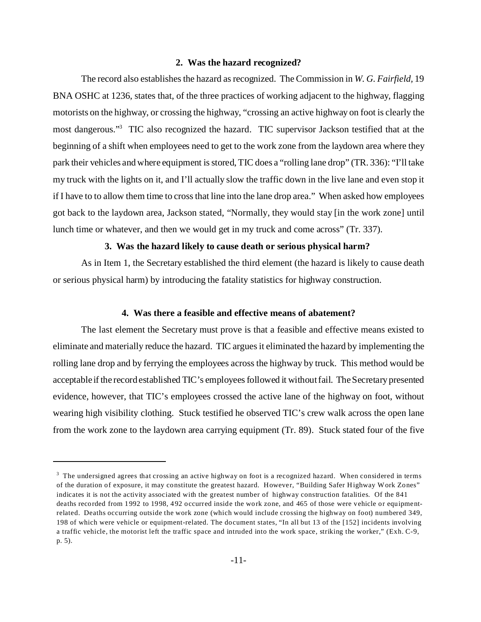## **2. Was the hazard recognized?**

 most dangerous."3 TIC also recognized the hazard. TIC supervisor Jackson testified that at the The record also establishes the hazard as recognized. The Commission in *W. G. Fairfield,* 19 BNA OSHC at 1236, states that, of the three practices of working adjacent to the highway, flagging motorists on the highway, or crossing the highway, "crossing an active highway on foot is clearly the beginning of a shift when employees need to get to the work zone from the laydown area where they park their vehicles and where equipment is stored, TIC does a "rolling lane drop" (TR. 336): "I'll take my truck with the lights on it, and I'll actually slow the traffic down in the live lane and even stop it if I have to to allow them time to cross that line into the lane drop area." When asked how employees got back to the laydown area, Jackson stated, "Normally, they would stay [in the work zone] until lunch time or whatever, and then we would get in my truck and come across" (Tr. 337).

# **3. Was the hazard likely to cause death or serious physical harm?**

As in Item 1, the Secretary established the third element (the hazard is likely to cause death or serious physical harm) by introducing the fatality statistics for highway construction.

## **4. Was there a feasible and effective means of abatement?**

The last element the Secretary must prove is that a feasible and effective means existed to eliminate and materially reduce the hazard. TIC argues it eliminated the hazard by implementing the rolling lane drop and by ferrying the employees across the highway by truck. This method would be acceptable if the record established TIC's employees followed it without fail. The Secretary presented evidence, however, that TIC's employees crossed the active lane of the highway on foot, without wearing high visibility clothing. Stuck testified he observed TIC's crew walk across the open lane from the work zone to the laydown area carrying equipment (Tr. 89). Stuck stated four of the five

 $3$  The undersigned agrees that crossing an active highway on foot is a recognized hazard. When considered in terms of the duration of exposure, it may constitute the greatest hazard. However, "Building Safer Highway Work Zones" indicates it is not the activity associated with the greatest number of highway construction fatalities. Of the 841 deaths recorded from 1992 to 1998, 492 occurred inside the work zone, and 465 of those were vehicle or equipmentrelated. Deaths occurring outside the work zone (which would include crossing the highway on foot) numbered 349, 198 of which were vehicle or equipment-related. The document states, "In all but 13 of the [152] incidents involving a traffic vehicle, the motorist left the traffic space and intruded into the work space, striking the worker," (Exh. C-9, p. 5).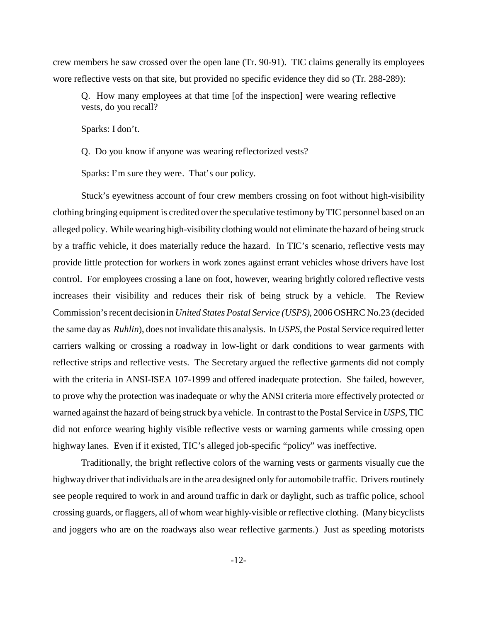crew members he saw crossed over the open lane (Tr. 90-91). TIC claims generally its employees wore reflective vests on that site, but provided no specific evidence they did so (Tr. 288-289):

Q. How many employees at that time [of the inspection] were wearing reflective vests, do you recall?

Sparks: I don't.

Q. Do you know if anyone was wearing reflectorized vests?

Sparks: I'm sure they were. That's our policy.

Stuck's eyewitness account of four crew members crossing on foot without high-visibility clothing bringing equipment is credited over the speculative testimony by TIC personnel based on an alleged policy. While wearing high-visibility clothing would not eliminate the hazard of being struck by a traffic vehicle, it does materially reduce the hazard. In TIC's scenario, reflective vests may provide little protection for workers in work zones against errant vehicles whose drivers have lost control. For employees crossing a lane on foot, however, wearing brightly colored reflective vests increases their visibility and reduces their risk of being struck by a vehicle. The Review Commission's recent decision in *United States Postal Service (USPS)*, 2006 OSHRC No.23 (decided the same day as *Ruhlin*), does not invalidate this analysis. In *USPS*, the Postal Service required letter carriers walking or crossing a roadway in low-light or dark conditions to wear garments with reflective strips and reflective vests. The Secretary argued the reflective garments did not comply with the criteria in ANSI-ISEA 107-1999 and offered inadequate protection. She failed, however, to prove why the protection was inadequate or why the ANSI criteria more effectively protected or warned against the hazard of being struck by a vehicle. In contrast to the Postal Service in *USPS*, TIC did not enforce wearing highly visible reflective vests or warning garments while crossing open highway lanes. Even if it existed, TIC's alleged job-specific "policy" was ineffective.

Traditionally, the bright reflective colors of the warning vests or garments visually cue the highway driver that individuals are in the area designed only for automobile traffic. Drivers routinely see people required to work in and around traffic in dark or daylight, such as traffic police, school crossing guards, or flaggers, all of whom wear highly-visible or reflective clothing. (Many bicyclists and joggers who are on the roadways also wear reflective garments.) Just as speeding motorists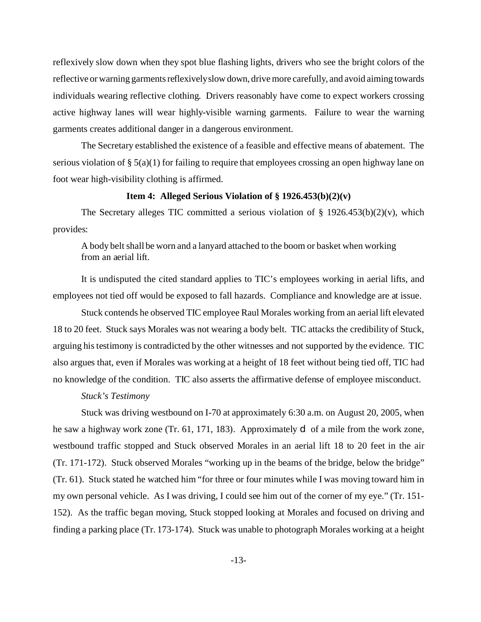reflexively slow down when they spot blue flashing lights, drivers who see the bright colors of the reflective or warning garments reflexivelyslow down, drive more carefully, and avoid aiming towards individuals wearing reflective clothing. Drivers reasonably have come to expect workers crossing active highway lanes will wear highly-visible warning garments. Failure to wear the warning garments creates additional danger in a dangerous environment.

The Secretary established the existence of a feasible and effective means of abatement. The serious violation of § 5(a)(1) for failing to require that employees crossing an open highway lane on foot wear high-visibility clothing is affirmed.

## **Item 4: Alleged Serious Violation of § 1926.453(b)(2)(v)**

The Secretary alleges TIC committed a serious violation of  $\S$  1926.453(b)(2)(v), which provides:

A body belt shall be worn and a lanyard attached to the boom or basket when working from an aerial lift.

It is undisputed the cited standard applies to TIC's employees working in aerial lifts, and employees not tied off would be exposed to fall hazards. Compliance and knowledge are at issue.

Stuck contends he observed TIC employee Raul Morales working from an aerial lift elevated 18 to 20 feet. Stuck says Morales was not wearing a body belt. TIC attacks the credibility of Stuck, arguing his testimony is contradicted by the other witnesses and not supported by the evidence. TIC also argues that, even if Morales was working at a height of 18 feet without being tied off, TIC had no knowledge of the condition. TIC also asserts the affirmative defense of employee misconduct.

#### *Stuck's Testimony*

Stuck was driving westbound on I-70 at approximately 6:30 a.m. on August 20, 2005, when he saw a highway work zone (Tr. 61, 171, 183). Approximately d of a mile from the work zone, westbound traffic stopped and Stuck observed Morales in an aerial lift 18 to 20 feet in the air (Tr. 171-172). Stuck observed Morales "working up in the beams of the bridge, below the bridge" (Tr. 61). Stuck stated he watched him "for three or four minutes while I was moving toward him in my own personal vehicle. As I was driving, I could see him out of the corner of my eye." (Tr. 151 152). As the traffic began moving, Stuck stopped looking at Morales and focused on driving and finding a parking place (Tr. 173-174). Stuck was unable to photograph Morales working at a height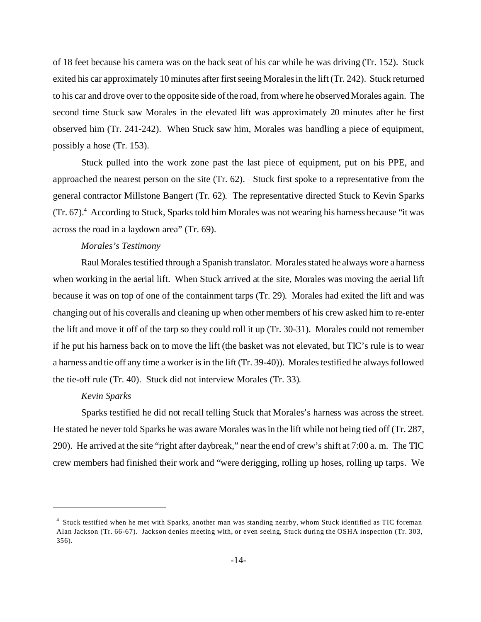of 18 feet because his camera was on the back seat of his car while he was driving (Tr. 152). Stuck exited his car approximately 10 minutes after first seeing Morales in the lift (Tr. 242). Stuck returned to his car and drove over to the opposite side of the road, from where he observed Morales again. The second time Stuck saw Morales in the elevated lift was approximately 20 minutes after he first observed him (Tr. 241-242). When Stuck saw him, Morales was handling a piece of equipment, possibly a hose (Tr. 153).

Stuck pulled into the work zone past the last piece of equipment, put on his PPE, and approached the nearest person on the site (Tr. 62). Stuck first spoke to a representative from the general contractor Millstone Bangert (Tr. 62). The representative directed Stuck to Kevin Sparks (Tr. 67).<sup>4</sup> According to Stuck, Sparks told him Morales was not wearing his harness because "it was across the road in a laydown area" (Tr. 69).

## *Morales's Testimony*

Raul Morales testified through a Spanish translator. Morales stated he always wore a harness when working in the aerial lift. When Stuck arrived at the site, Morales was moving the aerial lift because it was on top of one of the containment tarps (Tr. 29). Morales had exited the lift and was changing out of his coveralls and cleaning up when other members of his crew asked him to re-enter the lift and move it off of the tarp so they could roll it up (Tr. 30-31). Morales could not remember if he put his harness back on to move the lift (the basket was not elevated, but TIC's rule is to wear a harness and tie off any time a worker is in the lift (Tr. 39-40)). Morales testified he always followed the tie-off rule (Tr. 40). Stuck did not interview Morales (Tr. 33).

#### *Kevin Sparks*

Sparks testified he did not recall telling Stuck that Morales's harness was across the street. He stated he never told Sparks he was aware Morales was in the lift while not being tied off (Tr. 287, 290). He arrived at the site "right after daybreak," near the end of crew's shift at 7:00 a. m. The TIC crew members had finished their work and "were derigging, rolling up hoses, rolling up tarps. We

<sup>4</sup> Stuck testified when he met with Sparks, another man was standing nearby, whom Stuck identified as TIC foreman Alan Jackson (Tr. 66-67). Jackson denies meeting with, or even seeing, Stuck during the OSHA inspection (Tr. 303, 356).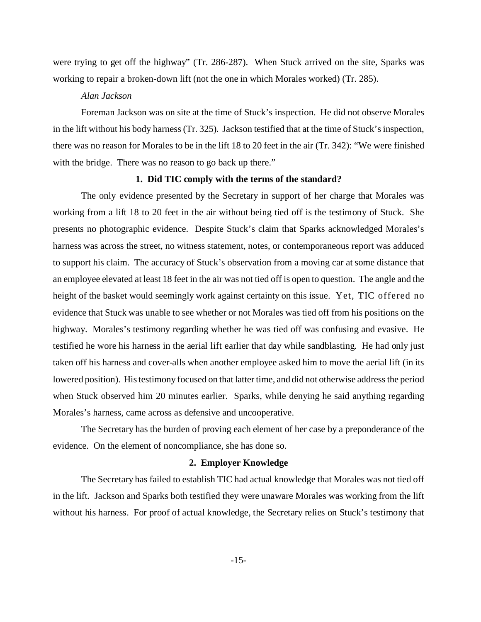were trying to get off the highway" (Tr. 286-287). When Stuck arrived on the site, Sparks was working to repair a broken-down lift (not the one in which Morales worked) (Tr. 285).

## *Alan Jackson*

in the lift without his body harness (Tr. 325). Jackson testified that at the time of Stuck's inspection, Foreman Jackson was on site at the time of Stuck's inspection. He did not observe Morales there was no reason for Morales to be in the lift 18 to 20 feet in the air (Tr. 342): "We were finished with the bridge. There was no reason to go back up there."

## **1. Did TIC comply with the terms of the standard?**

The only evidence presented by the Secretary in support of her charge that Morales was working from a lift 18 to 20 feet in the air without being tied off is the testimony of Stuck. She presents no photographic evidence. Despite Stuck's claim that Sparks acknowledged Morales's harness was across the street, no witness statement, notes, or contemporaneous report was adduced to support his claim. The accuracy of Stuck's observation from a moving car at some distance that an employee elevated at least 18 feet in the air was not tied off is open to question. The angle and the height of the basket would seemingly work against certainty on this issue. Yet, TIC offered no evidence that Stuck was unable to see whether or not Morales was tied off from his positions on the highway. Morales's testimony regarding whether he was tied off was confusing and evasive. He testified he wore his harness in the aerial lift earlier that day while sandblasting. He had only just taken off his harness and cover-alls when another employee asked him to move the aerial lift (in its lowered position). His testimony focused on that latter time, and did not otherwise address the period when Stuck observed him 20 minutes earlier. Sparks, while denying he said anything regarding Morales's harness, came across as defensive and uncooperative.

The Secretary has the burden of proving each element of her case by a preponderance of the evidence. On the element of noncompliance, she has done so.

## **2. Employer Knowledge**

The Secretary has failed to establish TIC had actual knowledge that Morales was not tied off in the lift. Jackson and Sparks both testified they were unaware Morales was working from the lift without his harness. For proof of actual knowledge, the Secretary relies on Stuck's testimony that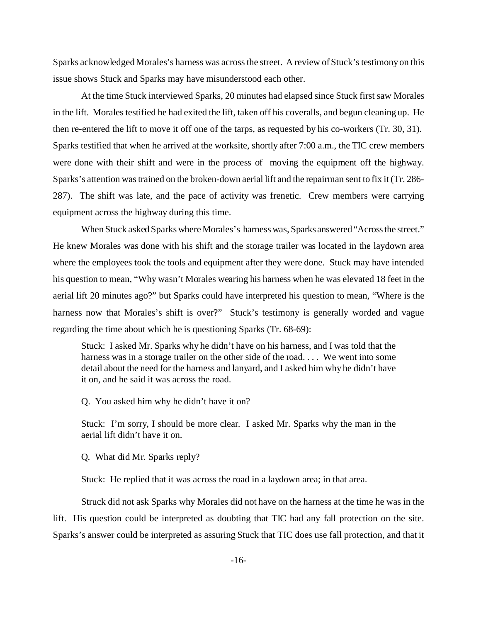Sparks acknowledged Morales's harness was across the street. A review of Stuck's testimony on this issue shows Stuck and Sparks may have misunderstood each other.

At the time Stuck interviewed Sparks, 20 minutes had elapsed since Stuck first saw Morales in the lift. Morales testified he had exited the lift, taken off his coveralls, and begun cleaning up. He then re-entered the lift to move it off one of the tarps, as requested by his co-workers (Tr. 30, 31). Sparks testified that when he arrived at the worksite, shortly after 7:00 a.m., the TIC crew members were done with their shift and were in the process of moving the equipment off the highway. Sparks's attention was trained on the broken-down aerial lift and the repairman sent to fix it (Tr. 286 287). The shift was late, and the pace of activity was frenetic. Crew members were carrying equipment across the highway during this time.

When Stuck asked Sparks where Morales's harness was, Sparks answered "Across the street." He knew Morales was done with his shift and the storage trailer was located in the laydown area where the employees took the tools and equipment after they were done. Stuck may have intended his question to mean, "Why wasn't Morales wearing his harness when he was elevated 18 feet in the aerial lift 20 minutes ago?" but Sparks could have interpreted his question to mean, "Where is the harness now that Morales's shift is over?" Stuck's testimony is generally worded and vague regarding the time about which he is questioning Sparks (Tr. 68-69):

Stuck: I asked Mr. Sparks why he didn't have on his harness, and I was told that the harness was in a storage trailer on the other side of the road. . . . We went into some detail about the need for the harness and lanyard, and I asked him why he didn't have it on, and he said it was across the road.

Q. You asked him why he didn't have it on?

Stuck: I'm sorry, I should be more clear. I asked Mr. Sparks why the man in the aerial lift didn't have it on.

Q. What did Mr. Sparks reply?

Stuck: He replied that it was across the road in a laydown area; in that area.

Struck did not ask Sparks why Morales did not have on the harness at the time he was in the lift. His question could be interpreted as doubting that TIC had any fall protection on the site. Sparks's answer could be interpreted as assuring Stuck that TIC does use fall protection, and that it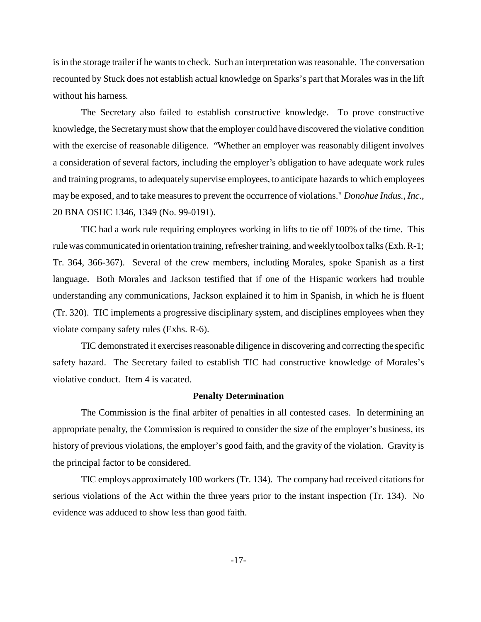is in the storage trailer if he wants to check. Such an interpretation was reasonable. The conversation recounted by Stuck does not establish actual knowledge on Sparks's part that Morales was in the lift without his harness.

The Secretary also failed to establish constructive knowledge. To prove constructive knowledge, the Secretary must show that the employer could have discovered the violative condition with the exercise of reasonable diligence. "Whether an employer was reasonably diligent involves a consideration of several factors, including the employer's obligation to have adequate work rules and training programs, to adequately supervise employees, to anticipate hazards to which employees may be exposed, and to take measures to prevent the occurrence of violations." *Donohue Indus., Inc.*, 20 BNA OSHC 1346, 1349 (No. 99-0191).

violate company safety rules (Exhs. R-6). TIC had a work rule requiring employees working in lifts to tie off 100% of the time. This rule was communicated in orientation training, refresher training, and weekly toolbox talks (Exh. R-1; Tr. 364, 366-367). Several of the crew members, including Morales, spoke Spanish as a first language. Both Morales and Jackson testified that if one of the Hispanic workers had trouble understanding any communications, Jackson explained it to him in Spanish, in which he is fluent (Tr. 320). TIC implements a progressive disciplinary system, and disciplines employees when they

TIC demonstrated it exercises reasonable diligence in discovering and correcting the specific safety hazard. The Secretary failed to establish TIC had constructive knowledge of Morales's violative conduct. Item 4 is vacated.

#### **Penalty Determination**

The Commission is the final arbiter of penalties in all contested cases. In determining an appropriate penalty, the Commission is required to consider the size of the employer's business, its history of previous violations, the employer's good faith, and the gravity of the violation. Gravity is the principal factor to be considered.

TIC employs approximately 100 workers (Tr. 134). The company had received citations for serious violations of the Act within the three years prior to the instant inspection (Tr. 134). No evidence was adduced to show less than good faith.